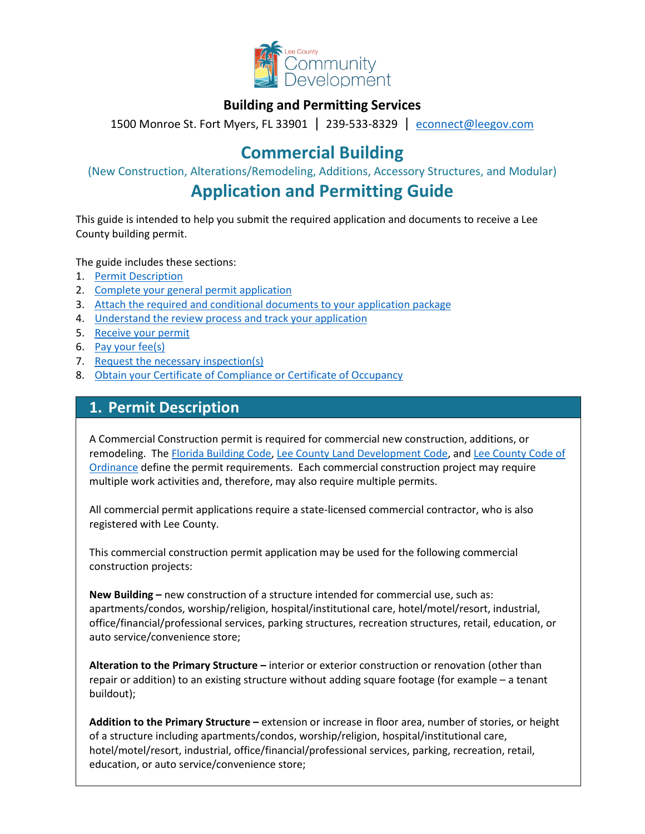

## **Building and Permitting Services**

1500 Monroe St. Fort Myers, FL 33901 | 239-533-8329 |[econnect@leegov.com](mailto:econnect@leegov.com)

# **Commercial Building**

(New Construction, Alterations/Remodeling, Additions, Accessory Structures, and Modular)

# **Application and Permitting Guide**

This guide is intended to help you submit the required application and documents to receive a Lee County building permit.

The guide includes these sections:

- 1. [Permit Description](#page-0-0)
- 2. [Complete your general permit application](#page-1-0)
- 3. [Attach the required and conditional documents to your](#page-4-0) application package
- 4. [Understand the review process and track your application](#page-10-0)
- 5. [Receive your permit](#page-10-1)
- 6. [Pay your fee\(s\)](#page-11-0)
- 7. [Request the necessary inspection\(s\)](#page-11-1)
- 8. [Obtain your Certificate of Compliance or Certificate of Occupancy](#page-15-0)

## <span id="page-0-0"></span>**1. Permit Description**

A Commercial Construction permit is required for commercial new construction, additions, or remodeling. The [Florida Building Code,](https://codes.iccsafe.org/codes/florida) [Lee County Land Development Code,](https://library.municode.com/fl/lee_county/codes/land_development_code?nodeId=LADECOLECOFL) an[d Lee County Code of](https://library.municode.com/fl/lee_county/codes/code_of_ordinances?nodeId=COLAORLECOFL)  [Ordinance](https://library.municode.com/fl/lee_county/codes/code_of_ordinances?nodeId=COLAORLECOFL) define the permit requirements. Each commercial construction project may require multiple work activities and, therefore, may also require multiple permits.

All commercial permit applications require a state-licensed commercial contractor, who is also registered with Lee County.

This commercial construction permit application may be used for the following commercial construction projects:

**New Building –** new construction of a structure intended for commercial use, such as: apartments/condos, worship/religion, hospital/institutional care, hotel/motel/resort, industrial, office/financial/professional services, parking structures, recreation structures, retail, education, or auto service/convenience store;

**Alteration to the Primary Structure –** interior or exterior construction or renovation (other than repair or addition) to an existing structure without adding square footage (for example – a tenant buildout);

**Addition to the Primary Structure –** extension or increase in floor area, number of stories, or height of a structure including apartments/condos, worship/religion, hospital/institutional care, hotel/motel/resort, industrial, office/financial/professional services, parking, recreation, retail, education, or auto service/convenience store;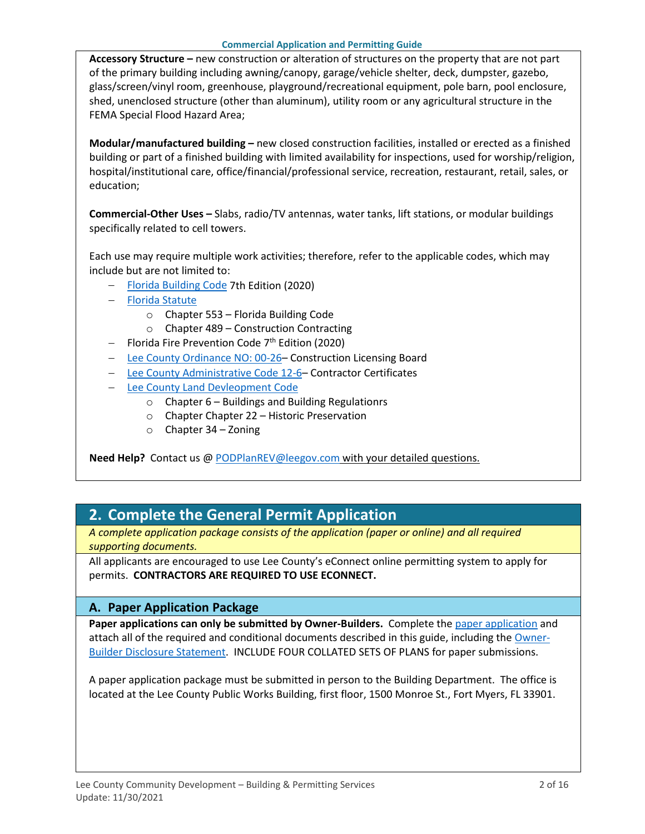**Accessory Structure –** new construction or alteration of structures on the property that are not part of the primary building including awning/canopy, garage/vehicle shelter, deck, dumpster, gazebo, glass/screen/vinyl room, greenhouse, playground/recreational equipment, pole barn, pool enclosure, shed, unenclosed structure (other than aluminum), utility room or any agricultural structure in the FEMA Special Flood Hazard Area;

**Modular/manufactured building –** new closed construction facilities, installed or erected as a finished building or part of a finished building with limited availability for inspections, used for worship/religion, hospital/institutional care, office/financial/professional service, recreation, restaurant, retail, sales, or education;

**Commercial-Other Uses –** Slabs, radio/TV antennas, water tanks, lift stations, or modular buildings specifically related to cell towers.

Each use may require multiple work activities; therefore, refer to the applicable codes, which may include but are not limited to:

- − [Florida Building Code](https://codes.iccsafe.org/codes/florida) 7th Edition (2020)
- − [Florida Statute](http://www.leg.state.fl.us/Statutes/index.cfm?Mode=View%20Statutes&Submenu=1&Tab=statutes)
	- o Chapter 553 Florida Building Code
	- o Chapter 489 Construction Contracting
- − Florida Fire Prevention Code 7th Edition (2020)
- − [Lee County Ordinance NO: 00-26–](https://www.leegov.com/bocc/Ordinances/00-26.pdf) Construction Licensing Board
- − [Lee County Administrative Code 12-6–](https://www.leegov.com/bocc/Administrative%20Codes/AC-12-6.pdf) Contractor Certificates
- − [Lee County Land Devleopment Code](https://library.municode.com/fl/lee_county/codes/land_development_code?nodeId=LADECOLECOFL)
	- $\circ$  Chapter 6 Buildings and Building Regulationrs
	- o Chapter Chapter 22 Historic Preservation
	- $\circ$  Chapter 34 Zoning

**Need Help?** Contact us @ [PODPlanREV@leegov.com](mailto:PODPlanREV@leegov.com) with your detailed questions.

## <span id="page-1-0"></span>**2. Complete the General Permit Application**

*A complete application package consists of the application (paper or online) and all required supporting documents.*

All applicants are encouraged to use Lee County's eConnect online permitting system to apply for permits. **CONTRACTORS ARE REQUIRED TO USE ECONNECT.**

## **A. Paper Application Package**

**Paper applications can only be submitted by Owner-Builders.** Complete the [paper application](https://www.leegov.com/dcd/PermittingDocs/CommercialBuildingPermitApplication.pdf) and attach all of the required and conditional documents described in this guide, including the [Owner-](https://www.leegov.com/dcd/PermittingDocs/OwnerBldrDisclosure.pdf)[Builder Disclosure Statement.](https://www.leegov.com/dcd/PermittingDocs/OwnerBldrDisclosure.pdf) INCLUDE FOUR COLLATED SETS OF PLANS for paper submissions.

A paper application package must be submitted in person to the Building Department. The office is located at the Lee County Public Works Building, first floor, 1500 Monroe St., Fort Myers, FL 33901.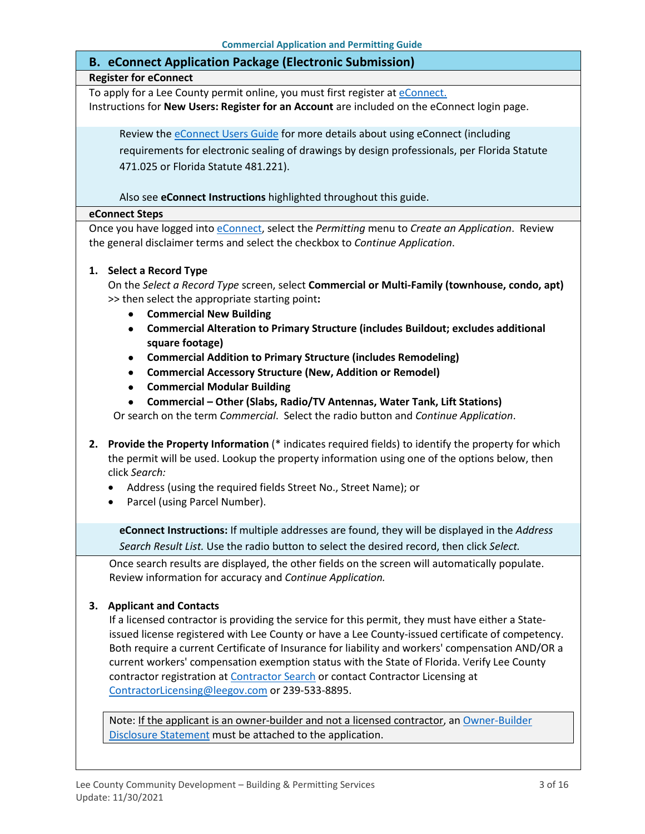## **B. eConnect Application Package (Electronic Submission)**

#### **Register for eConnect**

To apply for a Lee County permit online, you must first register at [eConnect.](https://accelaaca.leegov.com/aca/) Instructions for **New Users: Register for an Account** are included on the eConnect login page.

Review th[e eConnect Users Guide](https://www.leegov.com/dcd/Documents/eServ/eConnect/eServicesGuide.pdf) for more details about using eConnect (including requirements for electronic sealing of drawings by design professionals, per Florida Statute 471.025 or Florida Statute 481.221).

Also see **eConnect Instructions** highlighted throughout this guide.

#### **eConnect Steps**

Once you have logged into [eConnect,](https://accelaaca.leegov.com/aca/) select the *Permitting* menu to *Create an Application*. Review the general disclaimer terms and select the checkbox to *Continue Application*.

#### **1. Select a Record Type**

On the *Select a Record Type* screen, select **Commercial or Multi-Family (townhouse, condo, apt)** >> then select the appropriate starting point**:** 

- **Commercial New Building**
- **Commercial Alteration to Primary Structure (includes Buildout; excludes additional square footage)**
- **Commercial Addition to Primary Structure (includes Remodeling)**
- **Commercial Accessory Structure (New, Addition or Remodel)**
- **Commercial Modular Building**
- **Commercial – Other (Slabs, Radio/TV Antennas, Water Tank, Lift Stations)**

Or search on the term *Commercial*. Select the radio button and *Continue Application*.

- **2. Provide the Property Information** (\* indicates required fields) to identify the property for which the permit will be used. Lookup the property information using one of the options below, then click *Search:*
	- Address (using the required fields Street No., Street Name); or
	- Parcel (using Parcel Number).

**eConnect Instructions:** If multiple addresses are found, they will be displayed in the *Address Search Result List.* Use the radio button to select the desired record, then click *Select.*

Once search results are displayed, the other fields on the screen will automatically populate. Review information for accuracy and *Continue Application.*

#### **3. Applicant and Contacts**

If a licensed contractor is providing the service for this permit, they must have either a Stateissued license registered with Lee County or have a Lee County-issued certificate of competency. Both require a current Certificate of Insurance for liability and workers' compensation AND/OR a current workers' compensation exemption status with the State of Florida. Verify Lee County contractor registration at [Contractor Search](https://www.leegov.com/dcd/ContLic/ActCont) or contact Contractor Licensing at [ContractorLicensing@leegov.com](mailto:ContractorLicensing@leegov.com) or 239-533-8895.

Note: If the applicant is an owner-builder and not a licensed contractor, an Owner-Builder [Disclosure Statement](https://www.leegov.com/dcd/PermittingDocs/OwnerBldrDisclosure.pdf) must be attached to the application.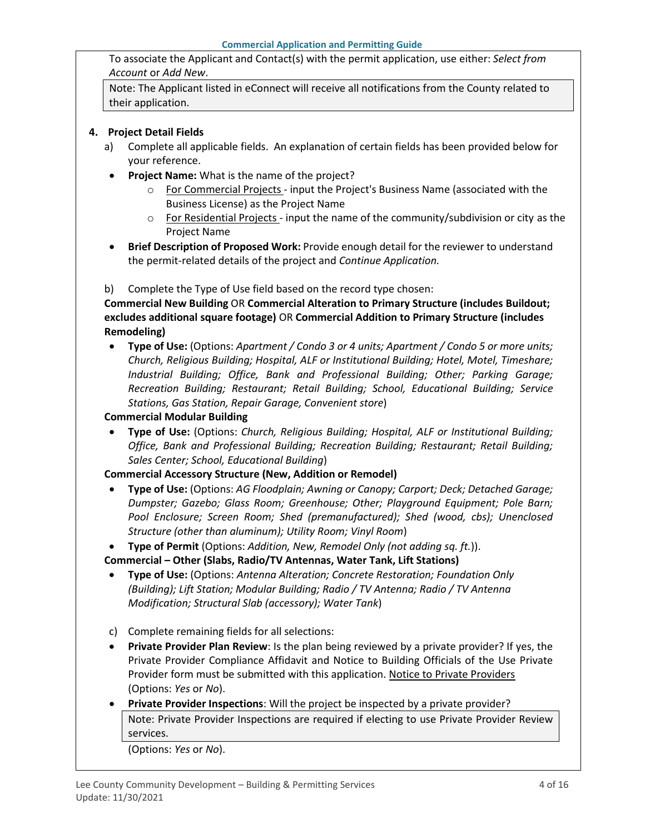To associate the Applicant and Contact(s) with the permit application, use either: *Select from Account* or *Add New*.

Note: The Applicant listed in eConnect will receive all notifications from the County related to their application.

### **4. Project Detail Fields**

- a) Complete all applicable fields. An explanation of certain fields has been provided below for your reference.
- **Project Name:** What is the name of the project?
	- o For Commercial Projects input the Project's Business Name (associated with the Business License) as the Project Name
	- $\circ$  For Residential Projects input the name of the community/subdivision or city as the Project Name
- **Brief Description of Proposed Work:** Provide enough detail for the reviewer to understand the permit-related details of the project and *Continue Application.*

### b) Complete the Type of Use field based on the record type chosen:

**Commercial New Building** OR **Commercial Alteration to Primary Structure (includes Buildout; excludes additional square footage)** OR **Commercial Addition to Primary Structure (includes Remodeling)**

• **Type of Use:** (Options: *Apartment / Condo 3 or 4 units; Apartment / Condo 5 or more units; Church, Religious Building; Hospital, ALF or Institutional Building; Hotel, Motel, Timeshare; Industrial Building; Office, Bank and Professional Building; Other; Parking Garage; Recreation Building; Restaurant; Retail Building; School, Educational Building; Service Stations, Gas Station, Repair Garage, Convenient store*)

### **Commercial Modular Building**

• **Type of Use:** (Options: *Church, Religious Building; Hospital, ALF or Institutional Building; Office, Bank and Professional Building; Recreation Building; Restaurant; Retail Building; Sales Center; School, Educational Building*)

## **Commercial Accessory Structure (New, Addition or Remodel)**

• **Type of Use:** (Options: *AG Floodplain; Awning or Canopy; Carport; Deck; Detached Garage; Dumpster; Gazebo; Glass Room; Greenhouse; Other; Playground Equipment; Pole Barn; Pool Enclosure; Screen Room; Shed (premanufactured); Shed (wood, cbs); Unenclosed Structure (other than aluminum); Utility Room; Vinyl Room*)

• **Type of Permit** (Options: *Addition, New, Remodel Only (not adding sq. ft.*)).

**Commercial – Other (Slabs, Radio/TV Antennas, Water Tank, Lift Stations)**

- **Type of Use:** (Options: *Antenna Alteration; Concrete Restoration; Foundation Only (Building); Lift Station; Modular Building; Radio / TV Antenna; Radio / TV Antenna Modification; Structural Slab (accessory); Water Tank*)
- c) Complete remaining fields for all selections:
- **Private Provider Plan Review**: Is the plan being reviewed by a private provider? If yes, the Private Provider Compliance Affidavit and Notice to Building Officials of the Use Private Provider form must be submitted with this application. [Notice to Private Providers](https://www.floridabuilding.org/fbc/committees/Private_Providers/Private_Providers.htm) (Options: *Yes* or *No*).
- **Private Provider Inspections**: Will the project be inspected by a private provider? Note: Private Provider Inspections are required if electing to use Private Provider Review services.

(Options: *Yes* or *No*).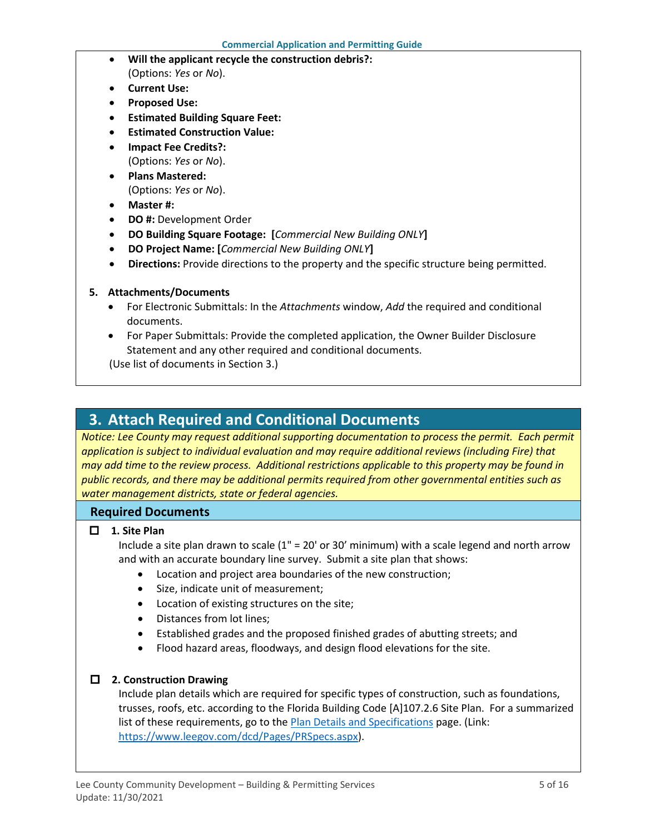- **Will the applicant recycle the construction debris?:** (Options: *Yes* or *No*).
- **Current Use:**
- **Proposed Use:**
- **Estimated Building Square Feet:**
- **Estimated Construction Value:**
- **Impact Fee Credits?:** (Options: *Yes* or *No*).
- **Plans Mastered:** (Options: *Yes* or *No*).
- **Master #:**
- **DO #:** Development Order
- **DO Building Square Footage: [***Commercial New Building ONLY***]**
- **DO Project Name: [***Commercial New Building ONLY***]**
- **Directions:** Provide directions to the property and the specific structure being permitted.
- **5. Attachments/Documents**
	- For Electronic Submittals: In the *Attachments* window, *Add* the required and conditional documents.
	- For Paper Submittals: Provide the completed application, the Owner Builder Disclosure Statement and any other required and conditional documents.

(Use list of documents in Section 3.)

## <span id="page-4-0"></span>**3. Attach Required and Conditional Documents**

*Notice: Lee County may request additional supporting documentation to process the permit. Each permit application is subject to individual evaluation and may require additional reviews (including Fire) that may add time to the review process. Additional restrictions applicable to this property may be found in public records, and there may be additional permits required from other governmental entities such as water management districts, state or federal agencies.*

## **Required Documents**

#### **1. Site Plan**

Include a site plan drawn to scale (1" = 20' or 30' minimum) with a scale legend and north arrow and with an accurate boundary line survey. Submit a site plan that shows:

- Location and project area boundaries of the new construction;
- Size, indicate unit of measurement;
- Location of existing structures on the site;
- Distances from lot lines;
- Established grades and the proposed finished grades of abutting streets; and
- Flood hazard areas, floodways, and design flood elevations for the site.

#### **2. Construction Drawing**

Include plan details which are required for specific types of construction, such as foundations, trusses, roofs, etc. according to the Florida Building Code [A]107.2.6 Site Plan. For a summarized list of these requirements, go to the [Plan Details and Specifications](https://www.leegov.com/dcd/Pages/PRSpecs.aspx) page. (Link: [https://www.leegov.com/dcd/Pages/PRSpecs.aspx\)](https://www.leegov.com/dcd/Pages/PRSpecs.aspx).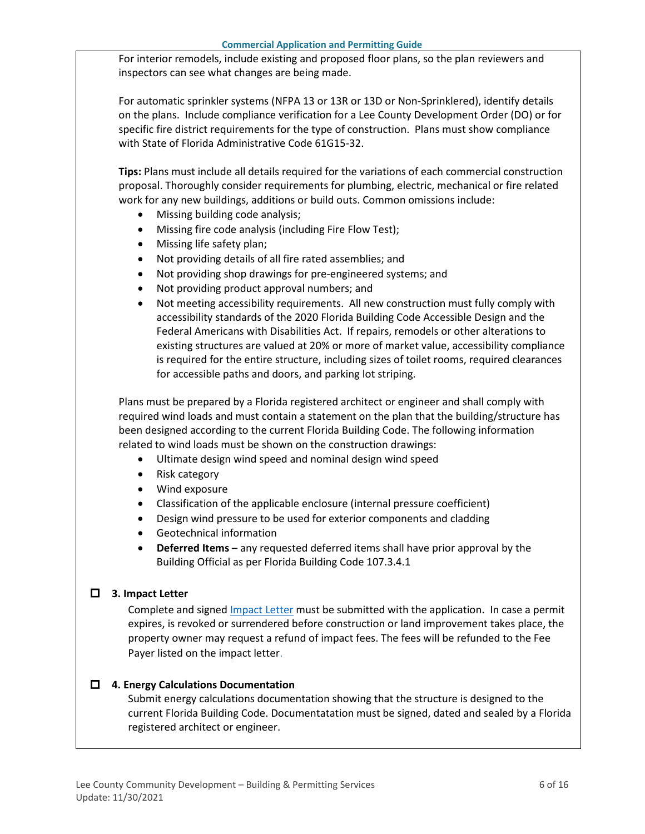For interior remodels, include existing and proposed floor plans, so the plan reviewers and inspectors can see what changes are being made.

For automatic sprinkler systems (NFPA 13 or 13R or 13D or Non-Sprinklered), identify details on the plans. Include compliance verification for a Lee County Development Order (DO) or for specific fire district requirements for the type of construction. Plans must show compliance with State of Florida Administrative Code 61G15-32.

**Tips:** Plans must include all details required for the variations of each commercial construction proposal. Thoroughly consider requirements for plumbing, electric, mechanical or fire related work for any new buildings, additions or build outs. Common omissions include:

- Missing building code analysis;
- Missing fire code analysis (including Fire Flow Test);
- Missing life safety plan;
- Not providing details of all fire rated assemblies; and
- Not providing shop drawings for pre-engineered systems; and
- Not providing product approval numbers; and
- Not meeting accessibility requirements. All new construction must fully comply with accessibility standards of the 2020 Florida Building Code Accessible Design and the Federal Americans with Disabilities Act. If repairs, remodels or other alterations to existing structures are valued at 20% or more of market value, accessibility compliance is required for the entire structure, including sizes of toilet rooms, required clearances for accessible paths and doors, and parking lot striping.

Plans must be prepared by a Florida registered architect or engineer and shall comply with required wind loads and must contain a statement on the plan that the building/structure has been designed according to the current Florida Building Code. The following information related to wind loads must be shown on the construction drawings:

- Ultimate design wind speed and nominal design wind speed
- Risk category
- Wind exposure
- Classification of the applicable enclosure (internal pressure coefficient)
- Design wind pressure to be used for exterior components and cladding
- Geotechnical information
- **Deferred Items** any requested deferred items shall have prior approval by the Building Official as per Florida Building Code 107.3.4.1

## **3. Impact Letter**

Complete and signe[d Impact Letter](https://www.leegov.com/dcd/PermittingDocs/ImpactLetter.pdf) must be submitted with the application. In case a permit expires, is revoked or surrendered before construction or land improvement takes place, the property owner may request a refund of impact fees. The fees will be refunded to the Fee Payer listed on the impact letter.

#### **4. Energy Calculations Documentation**

Submit energy calculations documentation showing that the structure is designed to the current Florida Building Code. Documentatation must be signed, dated and sealed by a Florida registered architect or engineer.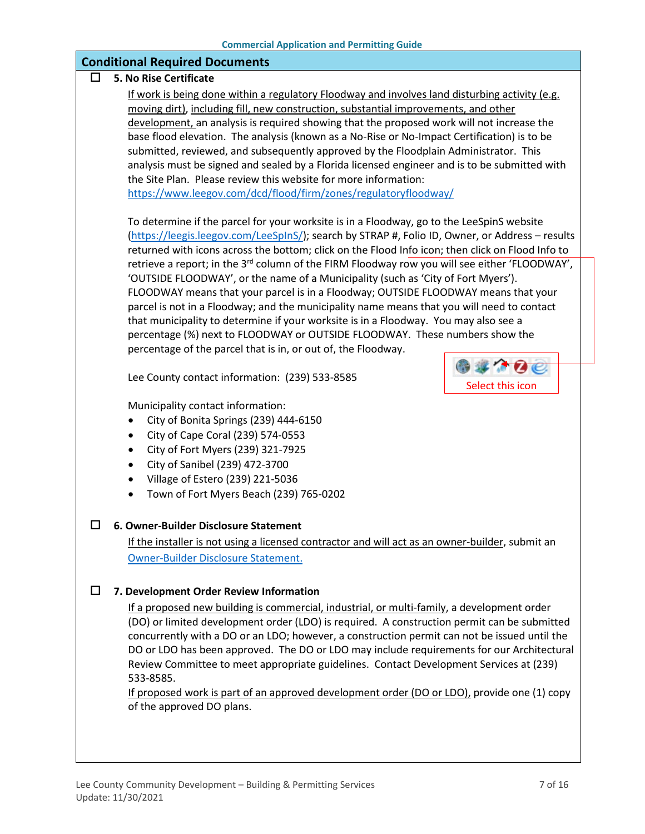## **Conditional Required Documents**

#### **5. No Rise Certificate**

If work is being done within a regulatory Floodway and involves land disturbing activity (e.g. moving dirt), including fill, new construction, substantial improvements, and other development, an analysis is required showing that the proposed work will not increase the base flood elevation. The analysis (known as a No-Rise or No-Impact Certification) is to be submitted, reviewed, and subsequently approved by the Floodplain Administrator. This analysis must be signed and sealed by a Florida licensed engineer and is to be submitted with the Site Plan. Please review this website for more information: <https://www.leegov.com/dcd/flood/firm/zones/regulatoryfloodway/>

To determine if the parcel for your worksite is in a Floodway, go to the LeeSpinS website [\(https://leegis.leegov.com/LeeSpInS/\)](https://leegis.leegov.com/LeeSpInS/); search by STRAP #, Folio ID, Owner, or Address – results returned with icons across the bottom; click on the Flood Info icon; then click on Flood Info to retrieve a report; in the 3<sup>rd</sup> column of the FIRM Floodway row you will see either 'FLOODWAY', 'OUTSIDE FLOODWAY', or the name of a Municipality (such as 'City of Fort Myers'). FLOODWAY means that your parcel is in a Floodway; OUTSIDE FLOODWAY means that your parcel is not in a Floodway; and the municipality name means that you will need to contact that municipality to determine if your worksite is in a Floodway. You may also see a percentage (%) next to FLOODWAY or OUTSIDE FLOODWAY. These numbers show the percentage of the parcel that is in, or out of, the Floodway.

Lee County contact information: (239) 533-8585



Municipality contact information:

- City of Bonita Springs (239) 444-6150
- City of Cape Coral (239) 574-0553
- City of Fort Myers (239) 321-7925
- City of Sanibel (239) 472-3700
- Village of Estero (239) 221-5036
- Town of Fort Myers Beach (239) 765-0202

#### **6. Owner-Builder Disclosure Statement**

If the installer is not using a licensed contractor and will act as an owner-builder, submit an [Owner-Builder Disclosure Statement.](https://www.leegov.com/dcd/PermittingDocs/OwnerBldrDisclosure.pdf)

#### **7. Development Order Review Information**

If a proposed new building is commercial, industrial, or multi-family, a development order (DO) or limited development order (LDO) is required. A construction permit can be submitted concurrently with a DO or an LDO; however, a construction permit can not be issued until the DO or LDO has been approved. The DO or LDO may include requirements for our Architectural Review Committee to meet appropriate guidelines. Contact Development Services at (239) 533-8585.

If proposed work is part of an approved development order (DO or LDO), provide one (1) copy of the approved DO plans.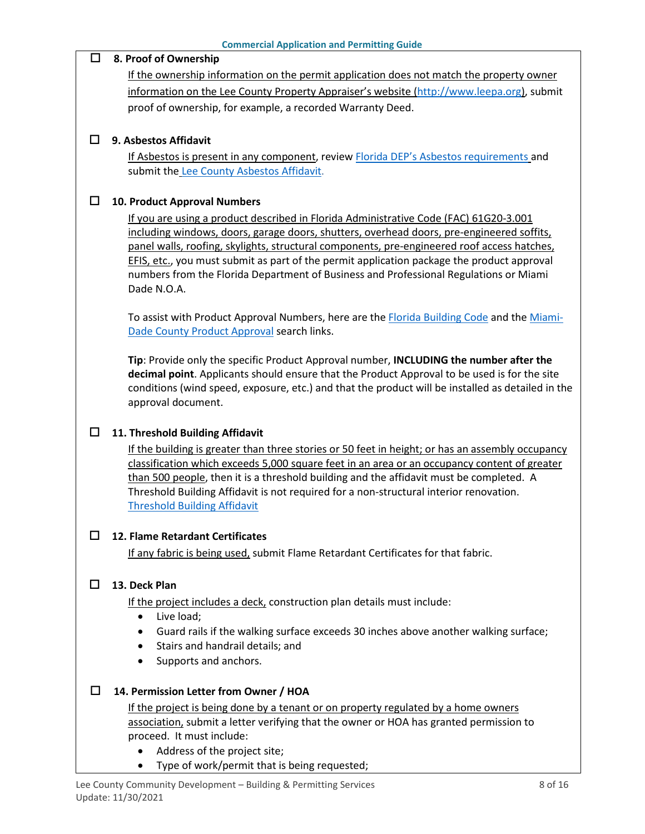#### **8. Proof of Ownership**

If the ownership information on the permit application does not match the property owner information on the Lee County Property Appraiser's website [\(http://www.leepa.org\)](http://www.leepa.org/), submit proof of ownership, for example, a recorded Warranty Deed.

#### **9. Asbestos Affidavit**

If Asbestos is present in any component, revie[w Florida DEP's Asbestos requirements](https://floridadep.gov/sites/default/files/Asbestos%20Presentation%20for%20Contractors%202019_rk.pdf) and submit the [Lee County Asbestos Affidavit](https://www.leegov.com/dcd/PermittingDocs/AsbestosAffidavit.pdf).

## **10. Product Approval Numbers**

If you are using a product described in Florida Administrative Code (FAC) 61G20-3.001 including windows, doors, garage doors, shutters, overhead doors, pre-engineered soffits, panel walls, roofing, skylights, structural components, pre-engineered roof access hatches, EFIS, etc., you must submit as part of the permit application package the product approval numbers from the Florida Department of Business and Professional Regulations or Miami Dade N.O.A.

To assist with Product Approval Numbers, here are the [Florida Building Code](https://floridabuilding.org/pr/pr_default.aspx) and the [Miami-](file://lee-county-fl.gov/fileserver/SharedDrive/County%20Administration/DATA/ADMIN/PerfAnalytics/Project%20Management/DCD%20Ops%20Review/Permitting/Draft%20Permitting%20Checklists/Edited%20Guides/-%09http:/www.miamidade.gov/building/pc-search_app.asp)[Dade County Product Approval](file://lee-county-fl.gov/fileserver/SharedDrive/County%20Administration/DATA/ADMIN/PerfAnalytics/Project%20Management/DCD%20Ops%20Review/Permitting/Draft%20Permitting%20Checklists/Edited%20Guides/-%09http:/www.miamidade.gov/building/pc-search_app.asp) search links.

**Tip**: Provide only the specific Product Approval number, **INCLUDING the number after the decimal point**. Applicants should ensure that the Product Approval to be used is for the site conditions (wind speed, exposure, etc.) and that the product will be installed as detailed in the approval document.

#### **11. Threshold Building Affidavit**

If the building is greater than three stories or 50 feet in height; or has an assembly occupancy classification which exceeds 5,000 square feet in an area or an occupancy content of greater than 500 people, then it is a threshold building and the affidavit must be completed. A Threshold Building Affidavit is not required for a non-structural interior renovation. [Threshold Building Affidavit](https://www.leegov.com/dcd/PermittingDocs/Threshold.pdf)

#### **12. Flame Retardant Certificates**

If any fabric is being used, submit Flame Retardant Certificates for that fabric.

## **13. Deck Plan**

If the project includes a deck, construction plan details must include:

- Live load;
- Guard rails if the walking surface exceeds 30 inches above another walking surface;
- Stairs and handrail details; and
- Supports and anchors.

## **14. Permission Letter from Owner / HOA**

If the project is being done by a tenant or on property regulated by a home owners association, submit a letter verifying that the owner or HOA has granted permission to proceed. It must include:

- Address of the project site;
- Type of work/permit that is being requested;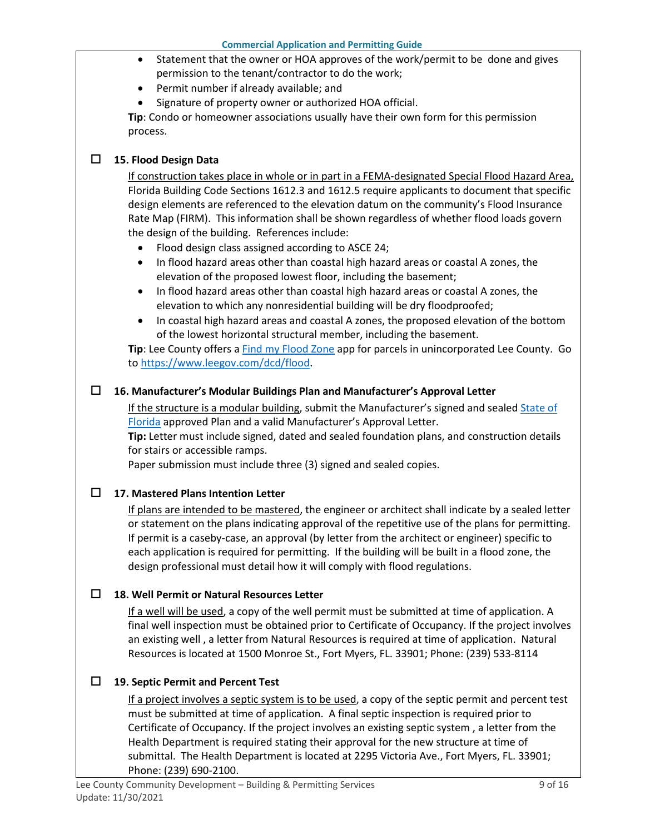- Statement that the owner or HOA approves of the work/permit to be done and gives permission to the tenant/contractor to do the work;
- Permit number if already available; and
- Signature of property owner or authorized HOA official.

**Tip**: Condo or homeowner associations usually have their own form for this permission process.

## **15. Flood Design Data**

If construction takes place in whole or in part in a FEMA-designated Special Flood Hazard Area, Florida Building Code Sections 1612.3 and 1612.5 require applicants to document that specific design elements are referenced to the elevation datum on the community's Flood Insurance Rate Map (FIRM). This information shall be shown regardless of whether flood loads govern the design of the building. References include:

- Flood design class assigned according to ASCE 24;
- In flood hazard areas other than coastal high hazard areas or coastal A zones, the elevation of the proposed lowest floor, including the basement;
- In flood hazard areas other than coastal high hazard areas or coastal A zones, the elevation to which any nonresidential building will be dry floodproofed;
- In coastal high hazard areas and coastal A zones, the proposed elevation of the bottom of the lowest horizontal structural member, including the basement.

**Tip**: Lee County offers a [Find my Flood Zone](https://www.leegov.com/dcd/flood) app for parcels in unincorporated Lee County. Go t[o https://www.leegov.com/dcd/flood.](https://www.leegov.com/dcd/flood)

## **16. Manufacturer's Modular Buildings Plan and Manufacturer's Approval Letter**

If the structure is a modular building, submit the Manufacturer's signed and sealed [State of](https://www.floridabuilding.org/mb/mb_plan_srch.aspx)  [Florida](https://www.floridabuilding.org/mb/mb_plan_srch.aspx) approved Plan and a valid Manufacturer's Approval Letter.

**Tip:** Letter must include signed, dated and sealed foundation plans, and construction details for stairs or accessible ramps.

Paper submission must include three (3) signed and sealed copies.

## **17. Mastered Plans Intention Letter**

If plans are intended to be mastered, the engineer or architect shall indicate by a sealed letter or statement on the plans indicating approval of the repetitive use of the plans for permitting. If permit is a caseby-case, an approval (by letter from the architect or engineer) specific to each application is required for permitting. If the building will be built in a flood zone, the design professional must detail how it will comply with flood regulations.

## **18. Well Permit or Natural Resources Letter**

If a well will be used, a copy of the well permit must be submitted at time of application. A final well inspection must be obtained prior to Certificate of Occupancy. If the project involves an existing well , a letter from Natural Resources is required at time of application. Natural Resources is located at 1500 Monroe St., Fort Myers, FL. 33901; Phone: (239) 533-8114

## **19. Septic Permit and Percent Test**

If a project involves a septic system is to be used, a copy of the septic permit and percent test must be submitted at time of application. A final septic inspection is required prior to Certificate of Occupancy. If the project involves an existing septic system , a letter from the Health Department is required stating their approval for the new structure at time of submittal. The Health Department is located at 2295 Victoria Ave., Fort Myers, FL. 33901; Phone: (239) 690-2100.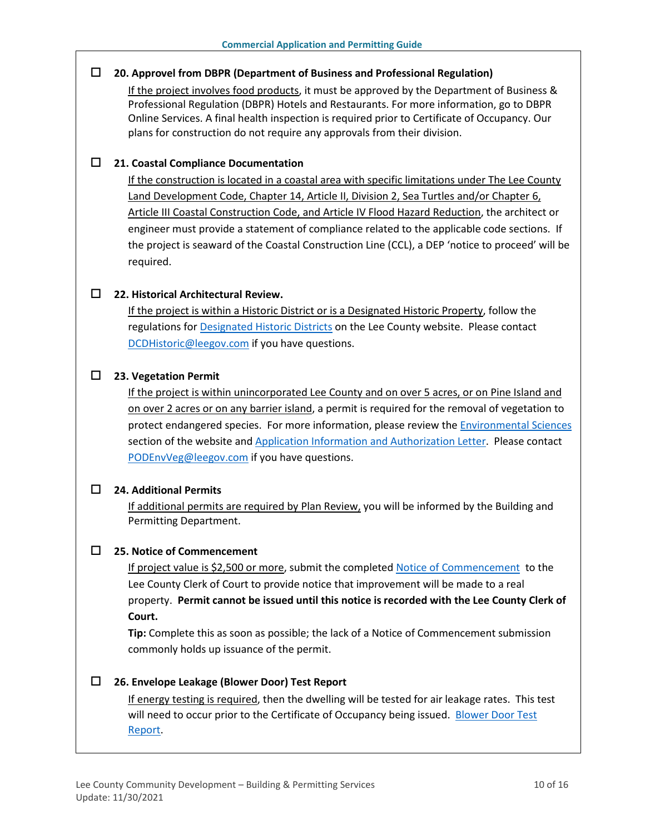#### **20. Approvel from DBPR (Department of Business and Professional Regulation)**

If the project involves food products, it must be approved by the Department of Business & Professional Regulation (DBPR) Hotels and Restaurants. For more information, go to DBPR Online Services. A final health inspection is required prior to Certificate of Occupancy. Our plans for construction do not require any approvals from their division.

#### **21. Coastal Compliance Documentation**

If the construction is located in a coastal area with specific limitations under The Lee County Land Development Code, Chapter 14, Article II, Division 2, Sea Turtles and/or Chapter 6, Article III Coastal Construction Code, and Article IV Flood Hazard Reduction, the architect or engineer must provide a statement of compliance related to the applicable code sections. If the project is seaward of the Coastal Construction Line (CCL), a DEP 'notice to proceed' will be required.

#### **22. Historical Architectural Review.**

If the project is within a Historic District or is a Designated Historic Property, follow the regulations for [Designated Historic Districts](https://www.leegov.com/dcd/planning/hp/histdistricts) on the Lee County website. Please contact [DCDHistoric@leegov.com](mailto:DCDHistoric@leegov.com) if you have questions.

#### **23. Vegetation Permit**

If the project is within unincorporated Lee County and on over 5 acres, or on Pine Island and on over 2 acres or on any barrier island, a permit is required for the removal of vegetation to protect endangered species. For more information, please review the [Environmental Sciences](https://www.leegov.com/dcd/es) section of the website an[d Application Information and Authorization Letter.](https://www.leegov.com/dcd/es/apps) Please contact [PODEnvVeg@leegov.com](mailto:PODEnvVeg@leegov.com) if you have questions.

#### **24. Additional Permits**

If additional permits are required by Plan Review, you will be informed by the Building and Permitting Department.

#### **25. Notice of Commencement**

If project value is \$2,500 or more, submit the completed [Notice of Commencement](https://www.leegov.com/dcd/PermittingDocs/NoticeofCommencement.pdf) to the Lee County Clerk of Court to provide notice that improvement will be made to a real property. **Permit cannot be issued until this notice is recorded with the Lee County Clerk of Court.** 

**Tip:** Complete this as soon as possible; the lack of a Notice of Commencement submission commonly holds up issuance of the permit.

#### **26. Envelope Leakage (Blower Door) Test Report**

If energy testing is required, then the dwelling will be tested for air leakage rates. This test will need to occur prior to the Certificate of Occupancy being issued. Blower Door Test [Report.](https://www.leegov.com/dcd/PermittingDocs/BlowerDoorTestReport.pdf)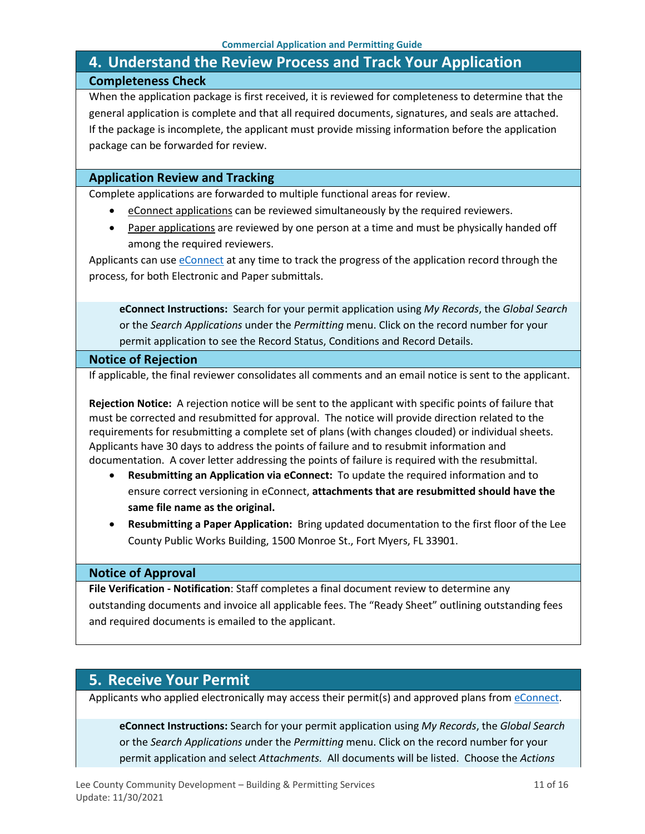## <span id="page-10-0"></span>**4. Understand the Review Process and Track Your Application Completeness Check**

When the application package is first received, it is reviewed for completeness to determine that the general application is complete and that all required documents, signatures, and seals are attached. If the package is incomplete, the applicant must provide missing information before the application package can be forwarded for review.

### **Application Review and Tracking**

Complete applications are forwarded to multiple functional areas for review.

- eConnect applications can be reviewed simultaneously by the required reviewers.
- Paper applications are reviewed by one person at a time and must be physically handed off among the required reviewers.

Applicants can use [eConnect](https://accelaaca.leegov.com/aca/) at any time to track the progress of the application record through the process, for both Electronic and Paper submittals.

**eConnect Instructions:** Search for your permit application using *My Records*, the *Global Search* or the *Search Applications* under the *Permitting* menu. Click on the record number for your permit application to see the Record Status, Conditions and Record Details.

#### **Notice of Rejection**

If applicable, the final reviewer consolidates all comments and an email notice is sent to the applicant.

**Rejection Notice:** A rejection notice will be sent to the applicant with specific points of failure that must be corrected and resubmitted for approval. The notice will provide direction related to the requirements for resubmitting a complete set of plans (with changes clouded) or individual sheets. Applicants have 30 days to address the points of failure and to resubmit information and documentation. A cover letter addressing the points of failure is required with the resubmittal.

- **Resubmitting an Application via eConnect:** To update the required information and to ensure correct versioning in eConnect, **attachments that are resubmitted should have the same file name as the original.**
- **Resubmitting a Paper Application:** Bring updated documentation to the first floor of the Lee County Public Works Building, 1500 Monroe St., Fort Myers, FL 33901.

#### **Notice of Approval**

**File Verification - Notification**: Staff completes a final document review to determine any outstanding documents and invoice all applicable fees. The "Ready Sheet" outlining outstanding fees and required documents is emailed to the applicant.

## <span id="page-10-1"></span>**5. Receive Your Permit**

Applicants who applied electronically may access their permit(s) and approved plans from [eConnect.](https://accelaaca.leegov.com/aca/)

**eConnect Instructions:** Search for your permit application using *My Records*, the *Global Search* or the *Search Applications u*nder the *Permitting* menu. Click on the record number for your permit application and select *Attachments.* All documents will be listed. Choose the *Actions*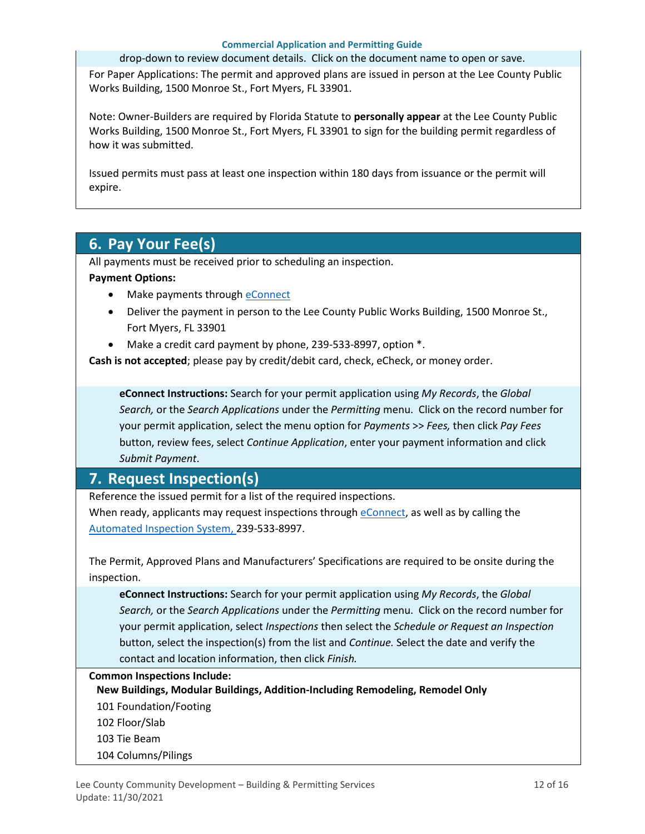#### **Commercial Application and Permitting Guide**

#### drop-down to review document details. Click on the document name to open or save.

For Paper Applications: The permit and approved plans are issued in person at the Lee County Public Works Building, 1500 Monroe St., Fort Myers, FL 33901.

Note: Owner-Builders are required by Florida Statute to **personally appear** at the Lee County Public Works Building, 1500 Monroe St., Fort Myers, FL 33901 to sign for the building permit regardless of how it was submitted.

Issued permits must pass at least one inspection within 180 days from issuance or the permit will expire.

## <span id="page-11-0"></span>**6. Pay Your Fee(s)**

All payments must be received prior to scheduling an inspection.

## **Payment Options:**

- Make payments through **eConnect**
- Deliver the payment in person to the Lee County Public Works Building, 1500 Monroe St., Fort Myers, FL 33901
- Make a credit card payment by phone, 239-533-8997, option \*.

**Cash is not accepted**; please pay by credit/debit card, check, eCheck, or money order.

**eConnect Instructions:** Search for your permit application using *My Records*, the *Global Search,* or the *Search Applications* under the *Permitting* menu. Click on the record number for your permit application, select the menu option for *Payments* >> *Fees,* then click *Pay Fees* button, review fees, select *Continue Application*, enter your payment information and click *Submit Payment*.

## <span id="page-11-1"></span>**7. Request Inspection(s)**

Reference the issued permit for a list of the required inspections.

When ready, applicants may request inspections through [eConnect,](https://accelaaca.leegov.com/aca/) as well as by calling the [Automated Inspection System,](https://www.leegov.com/dcd/BldPermitServ/Insp/AutoInsp) 239-533-8997.

The Permit, Approved Plans and Manufacturers' Specifications are required to be onsite during the inspection.

**eConnect Instructions:** Search for your permit application using *My Records*, the *Global Search,* or the *Search Applications* under the *Permitting* menu. Click on the record number for your permit application, select *Inspections* then select the *Schedule or Request an Inspection* button, select the inspection(s) from the list and *Continue.* Select the date and verify the contact and location information, then click *Finish.*

## **Common Inspections Include:**

**New Buildings, Modular Buildings, Addition-Including Remodeling, Remodel Only**

101 Foundation/Footing

102 Floor/Slab

103 Tie Beam

104 Columns/Pilings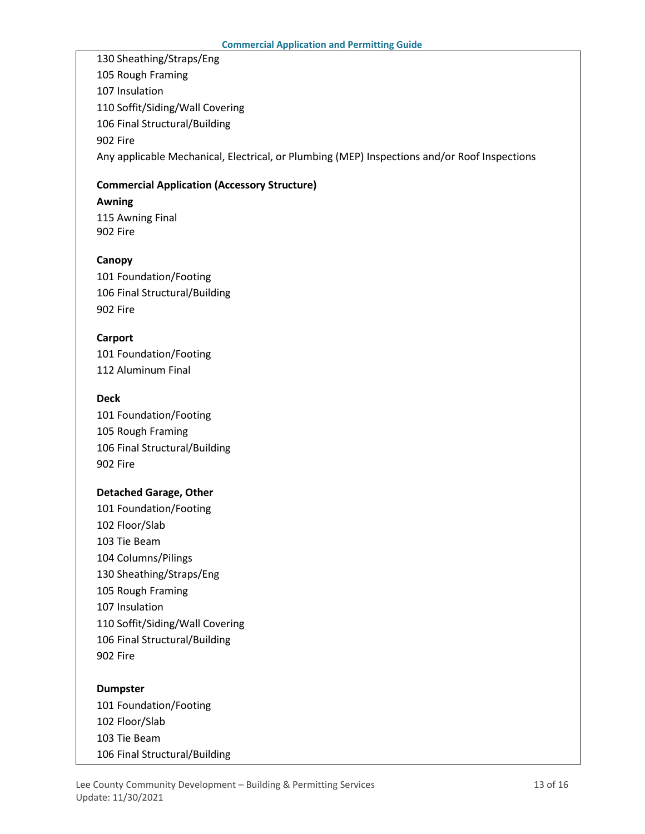130 Sheathing/Straps/Eng 105 Rough Framing 107 Insulation 110 Soffit/Siding/Wall Covering 106 Final Structural/Building 902 Fire Any applicable Mechanical, Electrical, or Plumbing (MEP) Inspections and/or Roof Inspections

### **Commercial Application (Accessory Structure)**

#### **Awning**

115 Awning Final 902 Fire

#### **Canopy**

101 Foundation/Footing 106 Final Structural/Building 902 Fire

#### **Carport**

101 Foundation/Footing 112 Aluminum Final

#### **Deck**

101 Foundation/Footing 105 Rough Framing 106 Final Structural/Building 902 Fire

#### **Detached Garage, Other**

101 Foundation/Footing 102 Floor/Slab 103 Tie Beam 104 Columns/Pilings 130 Sheathing/Straps/Eng 105 Rough Framing 107 Insulation 110 Soffit/Siding/Wall Covering 106 Final Structural/Building 902 Fire

#### **Dumpster**

101 Foundation/Footing 102 Floor/Slab 103 Tie Beam 106 Final Structural/Building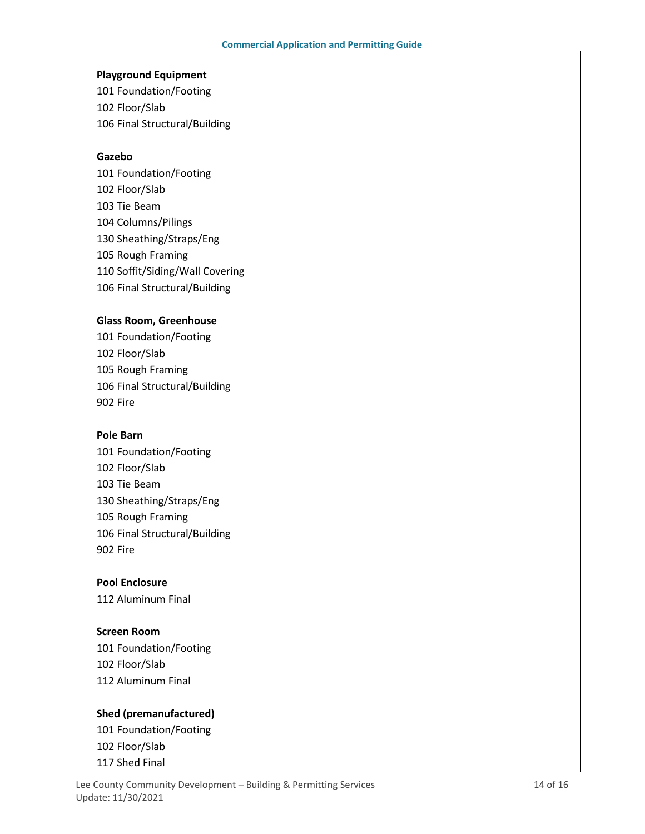### **Playground Equipment**

101 Foundation/Footing 102 Floor/Slab 106 Final Structural/Building

#### **Gazebo**

101 Foundation/Footing 102 Floor/Slab 103 Tie Beam 104 Columns/Pilings 130 Sheathing/Straps/Eng 105 Rough Framing 110 Soffit/Siding/Wall Covering 106 Final Structural/Building

#### **Glass Room, Greenhouse**

101 Foundation/Footing 102 Floor/Slab 105 Rough Framing 106 Final Structural/Building 902 Fire

#### **Pole Barn**

101 Foundation/Footing 102 Floor/Slab 103 Tie Beam 130 Sheathing/Straps/Eng 105 Rough Framing 106 Final Structural/Building 902 Fire

## **Pool Enclosure**

112 Aluminum Final

#### **Screen Room**

101 Foundation/Footing 102 Floor/Slab 112 Aluminum Final

#### **Shed (premanufactured)**

101 Foundation/Footing 102 Floor/Slab

117 Shed Final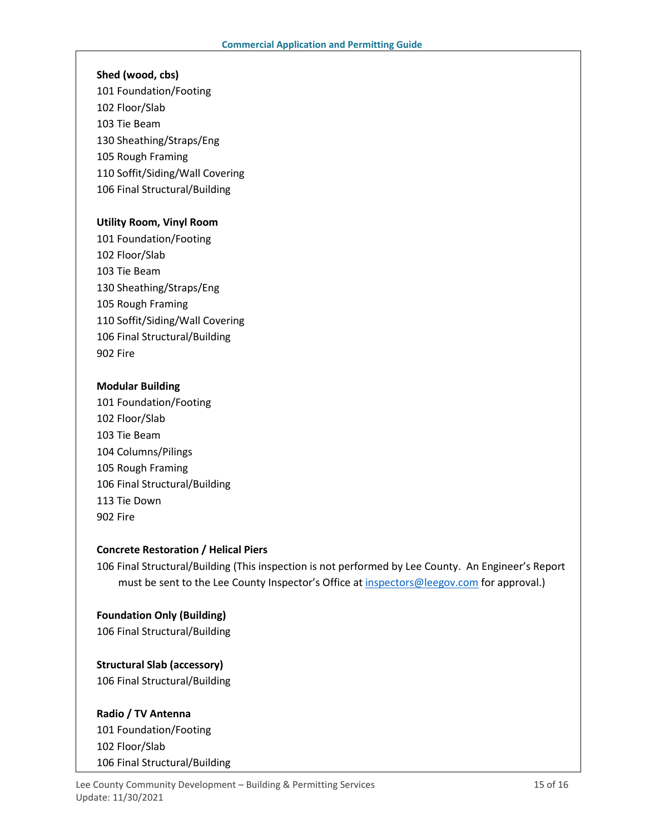#### **Shed (wood, cbs)**

- 101 Foundation/Footing
- 102 Floor/Slab
- 103 Tie Beam

130 Sheathing/Straps/Eng 105 Rough Framing

110 Soffit/Siding/Wall Covering

106 Final Structural/Building

### **Utility Room, Vinyl Room**

101 Foundation/Footing 102 Floor/Slab 103 Tie Beam 130 Sheathing/Straps/Eng 105 Rough Framing 110 Soffit/Siding/Wall Covering 106 Final Structural/Building 902 Fire

#### **Modular Building**

101 Foundation/Footing 102 Floor/Slab 103 Tie Beam 104 Columns/Pilings 105 Rough Framing 106 Final Structural/Building 113 Tie Down 902 Fire

#### **Concrete Restoration / Helical Piers**

106 Final Structural/Building (This inspection is not performed by Lee County. An Engineer's Report must be sent to the Lee County Inspector's Office at [inspectors@leegov.com](mailto:inspectors@leegov.com) for approval.)

**Foundation Only (Building)** 106 Final Structural/Building

## **Structural Slab (accessory)**

106 Final Structural/Building

## **Radio / TV Antenna**

101 Foundation/Footing 102 Floor/Slab 106 Final Structural/Building